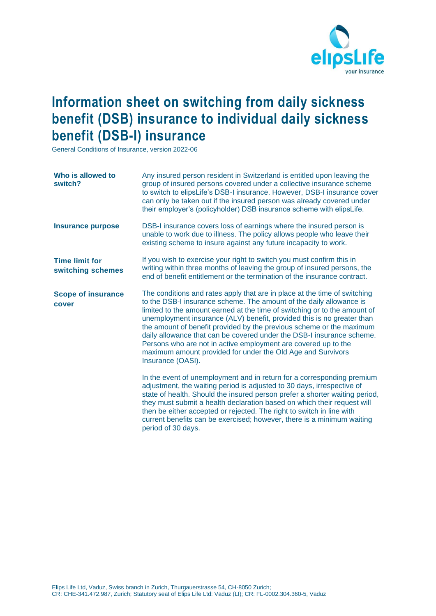

## **Information sheet on switching from daily sickness benefit (DSB) insurance to individual daily sickness benefit (DSB-I) insurance**

General Conditions of Insurance, version 2022-06

| Who is allowed to<br>switch?               | Any insured person resident in Switzerland is entitled upon leaving the<br>group of insured persons covered under a collective insurance scheme<br>to switch to elipsLife's DSB-I insurance. However, DSB-I insurance cover<br>can only be taken out if the insured person was already covered under<br>their employer's (policyholder) DSB insurance scheme with elipsLife.                                                                                                                                                                                                                                   |
|--------------------------------------------|----------------------------------------------------------------------------------------------------------------------------------------------------------------------------------------------------------------------------------------------------------------------------------------------------------------------------------------------------------------------------------------------------------------------------------------------------------------------------------------------------------------------------------------------------------------------------------------------------------------|
| <b>Insurance purpose</b>                   | DSB-I insurance covers loss of earnings where the insured person is<br>unable to work due to illness. The policy allows people who leave their<br>existing scheme to insure against any future incapacity to work.                                                                                                                                                                                                                                                                                                                                                                                             |
| <b>Time limit for</b><br>switching schemes | If you wish to exercise your right to switch you must confirm this in<br>writing within three months of leaving the group of insured persons, the<br>end of benefit entitlement or the termination of the insurance contract.                                                                                                                                                                                                                                                                                                                                                                                  |
| <b>Scope of insurance</b><br>cover         | The conditions and rates apply that are in place at the time of switching<br>to the DSB-I insurance scheme. The amount of the daily allowance is<br>limited to the amount earned at the time of switching or to the amount of<br>unemployment insurance (ALV) benefit, provided this is no greater than<br>the amount of benefit provided by the previous scheme or the maximum<br>daily allowance that can be covered under the DSB-I insurance scheme.<br>Persons who are not in active employment are covered up to the<br>maximum amount provided for under the Old Age and Survivors<br>Insurance (OASI). |
|                                            | In the event of unemployment and in return for a corresponding premium<br>adjustment, the waiting period is adjusted to 30 days, irrespective of<br>state of health. Should the insured person prefer a shorter waiting period,<br>they must submit a health declaration based on which their request will<br>then be either accepted or rejected. The right to switch in line with<br>current benefits can be exercised; however, there is a minimum waiting<br>period of 30 days.                                                                                                                            |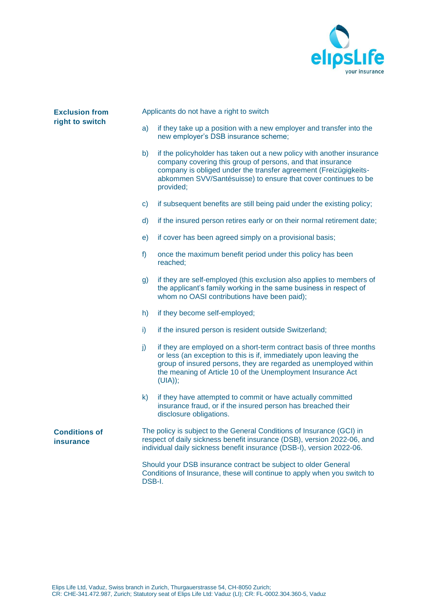

| <b>Exclusion from</b><br>right to switch |              | Applicants do not have a right to switch                                                                                                                                                                                                                                                 |  |  |  |
|------------------------------------------|--------------|------------------------------------------------------------------------------------------------------------------------------------------------------------------------------------------------------------------------------------------------------------------------------------------|--|--|--|
|                                          | a)           | if they take up a position with a new employer and transfer into the<br>new employer's DSB insurance scheme;                                                                                                                                                                             |  |  |  |
|                                          | b)           | if the policyholder has taken out a new policy with another insurance<br>company covering this group of persons, and that insurance<br>company is obliged under the transfer agreement (Freizügigkeits-<br>abkommen SVV/Santésuisse) to ensure that cover continues to be<br>provided;   |  |  |  |
|                                          | $\mathsf{C}$ | if subsequent benefits are still being paid under the existing policy;                                                                                                                                                                                                                   |  |  |  |
|                                          | d)           | if the insured person retires early or on their normal retirement date;                                                                                                                                                                                                                  |  |  |  |
|                                          | e)           | if cover has been agreed simply on a provisional basis;                                                                                                                                                                                                                                  |  |  |  |
|                                          | f)           | once the maximum benefit period under this policy has been<br>reached;                                                                                                                                                                                                                   |  |  |  |
|                                          | g)           | if they are self-employed (this exclusion also applies to members of<br>the applicant's family working in the same business in respect of<br>whom no OASI contributions have been paid);                                                                                                 |  |  |  |
|                                          | h)           | if they become self-employed;                                                                                                                                                                                                                                                            |  |  |  |
|                                          | i).          | if the insured person is resident outside Switzerland;                                                                                                                                                                                                                                   |  |  |  |
|                                          | j)           | if they are employed on a short-term contract basis of three months<br>or less (an exception to this is if, immediately upon leaving the<br>group of insured persons, they are regarded as unemployed within<br>the meaning of Article 10 of the Unemployment Insurance Act<br>$(UIA)$ ; |  |  |  |
|                                          | k).          | if they have attempted to commit or have actually committed<br>insurance fraud, or if the insured person has breached their<br>disclosure obligations.                                                                                                                                   |  |  |  |
| <b>Conditions of</b><br>insurance        |              | The policy is subject to the General Conditions of Insurance (GCI) in<br>respect of daily sickness benefit insurance (DSB), version 2022-06, and<br>individual daily sickness benefit insurance (DSB-I), version 2022-06.                                                                |  |  |  |
|                                          | DSB-I.       | Should your DSB insurance contract be subject to older General<br>Conditions of Insurance, these will continue to apply when you switch to                                                                                                                                               |  |  |  |